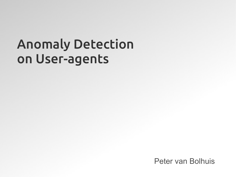### Anomaly Detection on User-agents

Peter van Bolhuis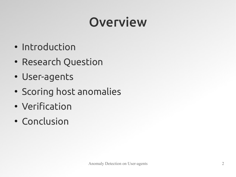## Overview

- Introduction
- Research Question
- User-agents
- Scoring host anomalies
- Verification
- Conclusion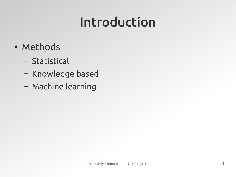## Introduction

- Methods
	- Statistical
	- Knowledge based
	- Machine learning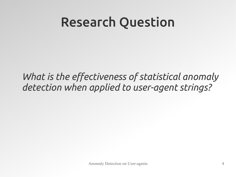### Research Question

*What is the effectiveness of statistical anomaly detection when applied to user-agent strings?*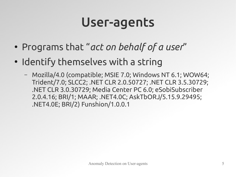### User-agents

- Programs that "*act on behalf of a user*"
- Identify themselves with a string
	- Mozilla/4.0 (compatible; MSIE 7.0; Windows NT 6.1; WOW64; Trident/7.0; SLCC2; .NET CLR 2.0.50727; .NET CLR 3.5.30729; .NET CLR 3.0.30729; Media Center PC 6.0; eSobiSubscriber 2.0.4.16; BRI/1; MAAR; .NET4.0C; AskTbORJ/5.15.9.29495; .NET4.0E; BRI/2) Funshion/1.0.0.1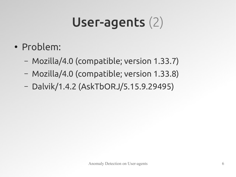# User-agents (2)

- Problem:
	- Mozilla/4.0 (compatible; version 1.33.7)
	- Mozilla/4.0 (compatible; version 1.33.8)
	- Dalvik/1.4.2 (AskTbORJ/5.15.9.29495)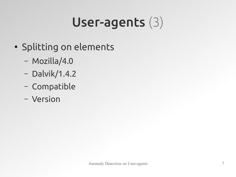# User-agents (3)

- Splitting on elements
	- Mozilla/4.0
	- Dalvik/1.4.2
	- Compatible
	- Version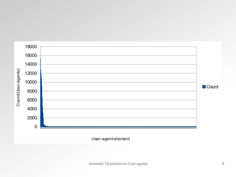

#### User-agent-element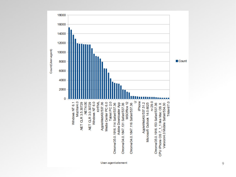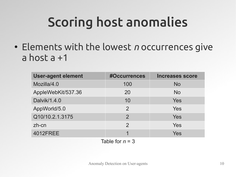# Scoring host anomalies

• Elements with the lowest *n* occurrences give a host a +1

| <b>User-agent element</b> | #Occurrences   | <b>Increases score</b> |
|---------------------------|----------------|------------------------|
| Mozilla/4.0               | 100            | <b>No</b>              |
| AppleWebKit/537.36        | 20             | <b>No</b>              |
| Dalvik/1.4.0              | 10             | Yes                    |
| AppWorld/5.0              | $\overline{2}$ | Yes                    |
| Q10/10.2.1.3175           | 2              | Yes                    |
| zh-cn                     | $\mathcal{P}$  | Yes                    |
| <b>4012FREE</b>           |                | <b>Yes</b>             |
|                           |                |                        |

Table for  $n = 3$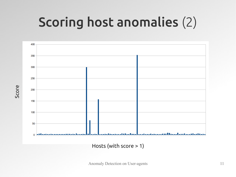## Scoring host anomalies (2)

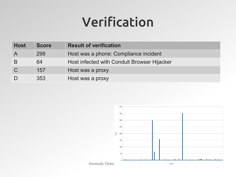### Verification

| <b>Host</b>             | <b>Score</b> | <b>Result of verification</b>               |
|-------------------------|--------------|---------------------------------------------|
| $\overline{\mathsf{A}}$ | 299          | Host was a phone: Compliance incident       |
| B                       | 64           | Host infected with Conduit Browser Hijacker |
| $\overline{C}$          | 157          | Host was a proxy                            |
| D                       | 353          | Host was a proxy                            |

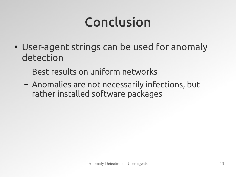# Conclusion

- User-agent strings can be used for anomaly detection
	- Best results on uniform networks
	- Anomalies are not necessarily infections, but rather installed software packages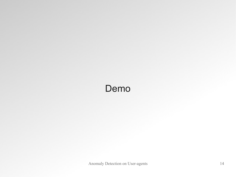### Demo